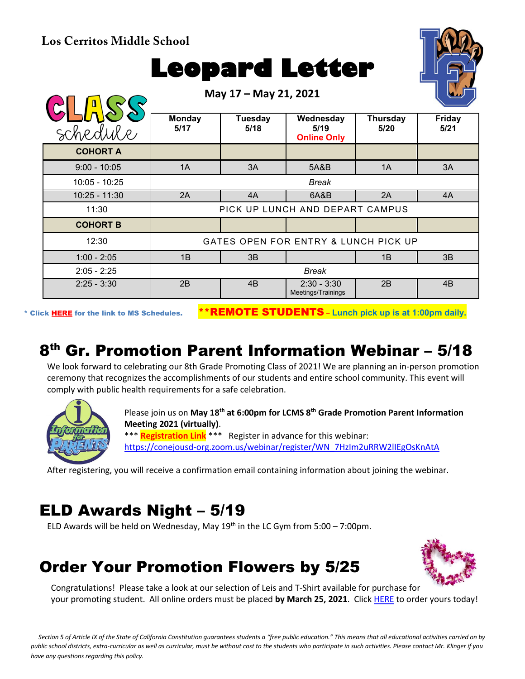**Los Cerritos Middle School**

# **Leopard Letter**

**May 17 – May 21, 2021**



| schedule        | <b>Monday</b><br>5/17                | <b>Tuesday</b><br>5/18 | Wednesday<br>5/19<br><b>Online Only</b> | Thursday<br>5/20 | <b>Friday</b><br>5/21 |  |
|-----------------|--------------------------------------|------------------------|-----------------------------------------|------------------|-----------------------|--|
| <b>COHORT A</b> |                                      |                        |                                         |                  |                       |  |
| $9:00 - 10:05$  | 1A                                   | 3A                     | 5A&B                                    | 1A               | 3A                    |  |
| 10:05 - 10:25   | Break                                |                        |                                         |                  |                       |  |
| $10:25 - 11:30$ | 2A                                   | 4A                     | 6A&B                                    | 2A               | 4A                    |  |
| 11:30           | PICK UP LUNCH AND DEPART CAMPUS      |                        |                                         |                  |                       |  |
| <b>COHORT B</b> |                                      |                        |                                         |                  |                       |  |
| 12:30           | GATES OPEN FOR ENTRY & LUNCH PICK UP |                        |                                         |                  |                       |  |
| $1:00 - 2:05$   | 1B                                   | 3B                     |                                         | 1B               | 3B                    |  |
| $2:05 - 2:25$   | Break                                |                        |                                         |                  |                       |  |
| $2:25 - 3:30$   | 2B                                   | 4B                     | $2:30 - 3:30$<br>Meetings/Trainings     | 2B               | 4B                    |  |

\* Click [HERE](https://www.conejousd.org/Portals/0/Middle%20School%20Monthly%20Calendar%20_FNLl.pdf?ver=2020-11-04-105638-860) for the link to MS Schedules. \*\*REMOTE STUDENTS – **Lunch pick up is at 1:00pm daily.**

# 8th Gr. Promotion Parent Information Webinar – 5/18

We look forward to celebrating our 8th Grade Promoting Class of 2021! We are planning an in-person promotion ceremony that recognizes the accomplishments of our students and entire school community. This event will comply with public health requirements for a safe celebration.



Please join us on **May 18th at 6:00pm for LCMS 8th Grade Promotion Parent Information Meeting 2021 (virtually)**. \*\*\* **Registration Link** \*\*\* Register in advance for this webinar: [https://conejousd-org.zoom.us/webinar/register/WN\\_7HzIm2uRRW2lIEgOsKnAtA](https://conejousd-org.zoom.us/webinar/register/WN_7HzIm2uRRW2lIEgOsKnAtA)

After registering, you will receive a confirmation email containing information about joining the webinar.

#### ELD Awards Night – 5/19

ELD Awards will be held on Wednesday, May  $19<sup>th</sup>$  in the LC Gym from 5:00 – 7:00pm.

## Order Your Promotion Flowers by 5/25



Congratulations! Please take a look at our selection of Leis and T-Shirt available for purchase for your promoting student. All online orders must be placed **by March 25, 2021**. Click [HERE](https://www.thecommencementgroup.com/lcms/) to order yours today!

*Section 5 of Article IX of the State of California Constitution guarantees students a "free public education." This means that all educational activities carried on by public school districts, extra-curricular as well as curricular, must be without cost to the students who participate in such activities. Please contact Mr. Klinger if you have any questions regarding this policy.*